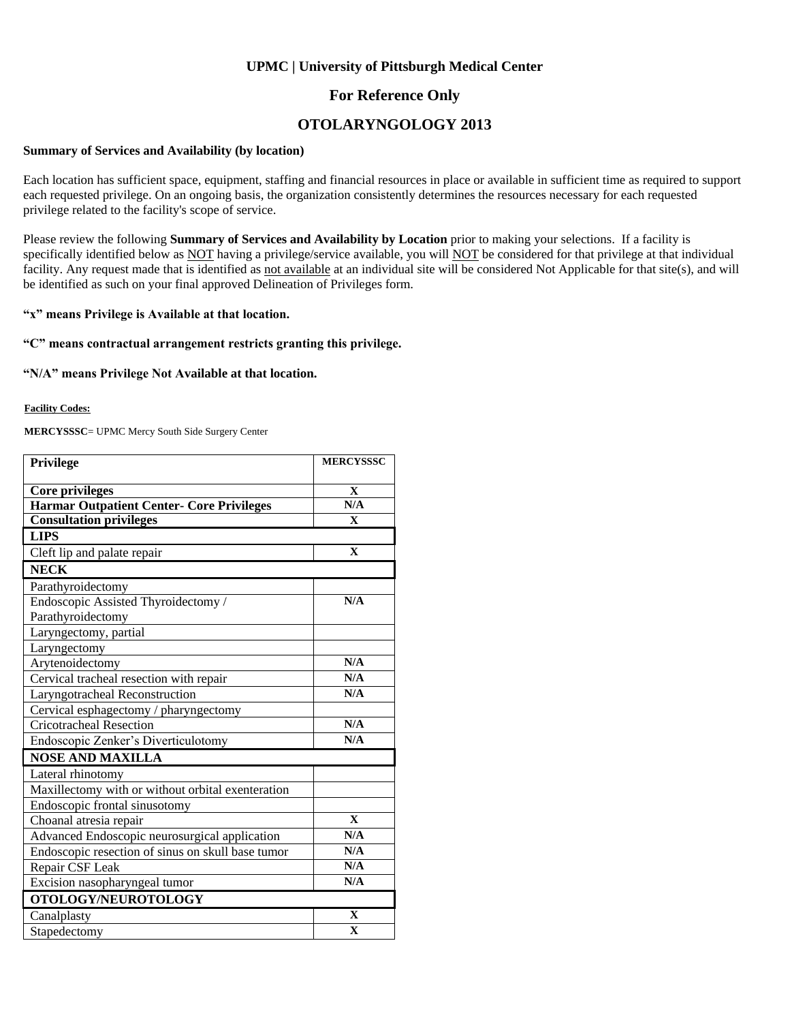## **UPMC | University of Pittsburgh Medical Center**

## **For Reference Only**

# **OTOLARYNGOLOGY 2013**

#### **Summary of Services and Availability (by location)**

Each location has sufficient space, equipment, staffing and financial resources in place or available in sufficient time as required to support each requested privilege. On an ongoing basis, the organization consistently determines the resources necessary for each requested privilege related to the facility's scope of service.

Please review the following **Summary of Services and Availability by Location** prior to making your selections. If a facility is specifically identified below as NOT having a privilege/service available, you will NOT be considered for that privilege at that individual facility. Any request made that is identified as not available at an individual site will be considered Not Applicable for that site(s), and will be identified as such on your final approved Delineation of Privileges form.

#### **"x" means Privilege is Available at that location.**

### **"C" means contractual arrangement restricts granting this privilege.**

#### **"N/A" means Privilege Not Available at that location.**

#### **Facility Codes:**

**MERCYSSSC**= UPMC Mercy South Side Surgery Center

| Privilege                                         | <b>MERCYSSSC</b> |
|---------------------------------------------------|------------------|
|                                                   |                  |
| <b>Core privileges</b>                            | $\mathbf X$      |
| <b>Harmar Outpatient Center- Core Privileges</b>  | N/A              |
| <b>Consultation privileges</b>                    | $\mathbf{X}$     |
| <b>LIPS</b>                                       |                  |
| Cleft lip and palate repair                       | $\mathbf{X}$     |
| <b>NECK</b>                                       |                  |
| Parathyroidectomy                                 |                  |
| Endoscopic Assisted Thyroidectomy /               | N/A              |
| Parathyroidectomy                                 |                  |
| Laryngectomy, partial                             |                  |
| Laryngectomy                                      |                  |
| Arytenoidectomy                                   | N/A              |
| Cervical tracheal resection with repair           | N/A              |
| Laryngotracheal Reconstruction                    | N/A              |
| Cervical esphagectomy / pharyngectomy             |                  |
| <b>Cricotracheal Resection</b>                    | N/A              |
| Endoscopic Zenker's Diverticulotomy               | N/A              |
| <b>NOSE AND MAXILLA</b>                           |                  |
| Lateral rhinotomy                                 |                  |
| Maxillectomy with or without orbital exenteration |                  |
| Endoscopic frontal sinusotomy                     |                  |
| Choanal atresia repair                            | $\mathbf{X}$     |
| Advanced Endoscopic neurosurgical application     | N/A              |
| Endoscopic resection of sinus on skull base tumor | N/A              |
| Repair CSF Leak                                   | N/A              |
| Excision nasopharyngeal tumor                     | N/A              |
| OTOLOGY/NEUROTOLOGY                               |                  |
| Canalplasty                                       | $\mathbf{X}$     |
| Stapedectomy                                      | $\mathbf X$      |